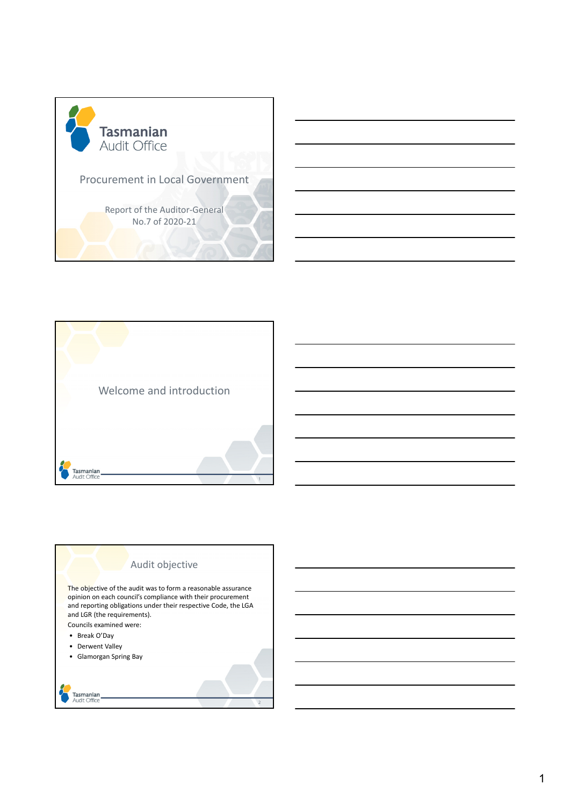





opinion on each council's compliance with their procurement and reporting obligations under their respective Code, the LGA and LGR (the requirements). Councils examined were:

- Break O'Day
- Derwent Valley
- Glamorgan Spring Bay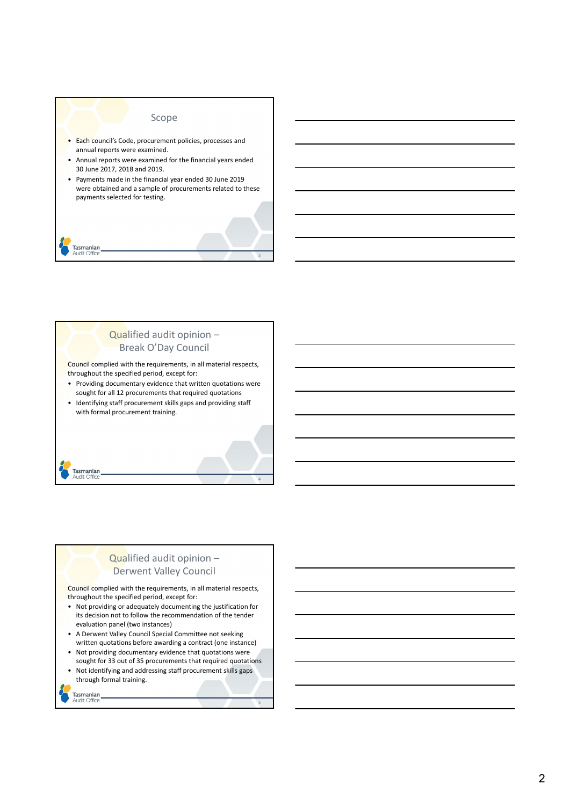

# Qualified audit opinion – Break O'Day Council Council complied with the requirements, in all material respects,

throughout the specified period, except for:

• Providing documentary evidence that written quotations were sought for all 12 procurements that required quotations

4

• Identifying staff procurement skills gaps and providing staff with formal procurement training.

# Qualified audit opinion – Derwent Valley Council

Council complied with the requirements, in all material respects, throughout the specified period, except for:

- Not providing or adequately documenting the justification for its decision not to follow the recommendation of the tender evaluation panel (two instances)
- A Derwent Valley Council Special Committee not seeking written quotations before awarding a contract (one instance)
- Not providing documentary evidence that quotations were sought for 33 out of 35 procurements that required quotations
- Not identifying and addressing staff procurement skills gaps through formal training.

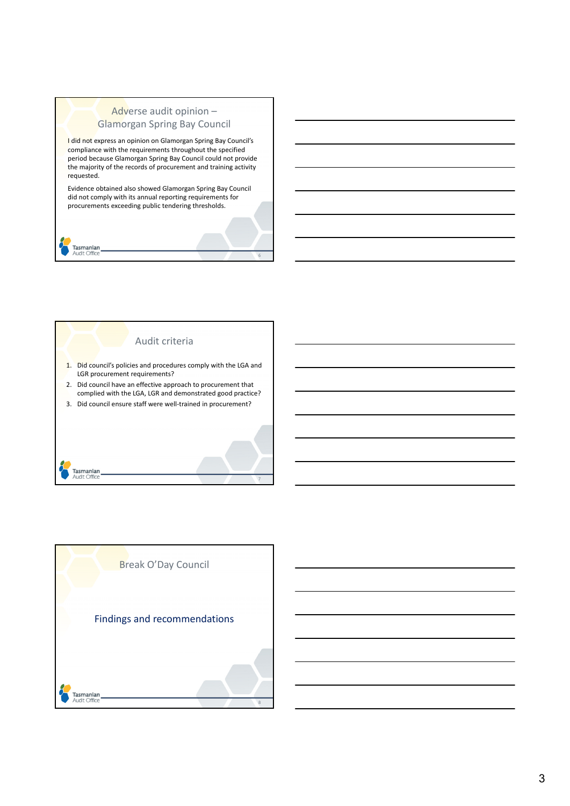# Adverse audit opinion – Glamorgan Spring Bay Council

I did not express an opinion on Glamorgan Spring Bay Council's compliance with the requirements throughout the specified period because Glamorgan Spring Bay Council could not provide the majority of the records of procurement and training activity requested.

Evidence obtained also showed Glamorgan Spring Bay Council did not comply with its annual reporting requirements for procurements exceeding public tendering thresholds.

6



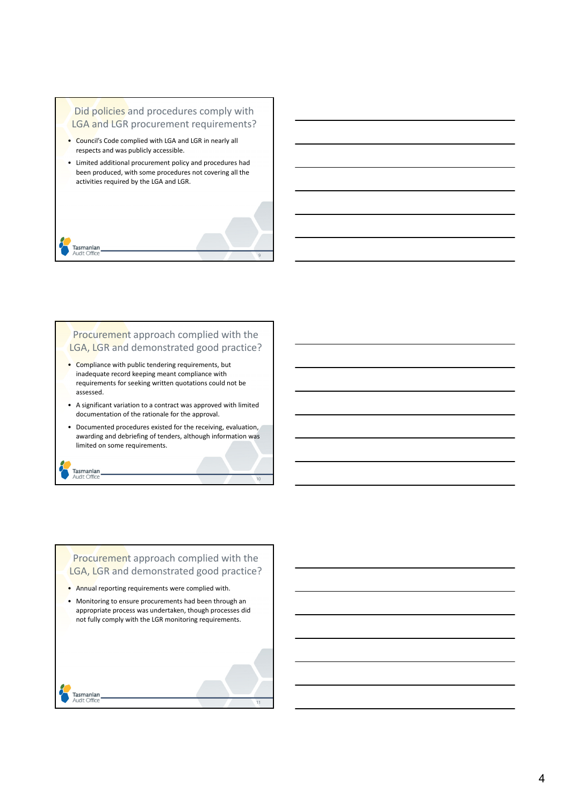## Did policies and procedures comply with LGA and LGR procurement requirements?

• Council's Code complied with LGA and LGR in nearly all respects and was publicly accessible.

Tasmanian<br>Audit Office

Tasmanian<br>Audit Office

• Limited additional procurement policy and procedures had been produced, with some procedures not covering all the activities required by the LGA and LGR.

Procurement approach complied with the LGA, LGR and demonstrated good practice?

9

10

- Compliance with public tendering requirements, but inadequate record keeping meant compliance with requirements for seeking written quotations could not be assessed.
- A significant variation to a contract was approved with limited documentation of the rationale for the approval.
- Documented procedures existed for the receiving, evaluation, awarding and debriefing of tenders, although information was limited on some requirements.

Procurement approach complied with the LGA, LGR and demonstrated good practice? • Annual reporting requirements were complied with.

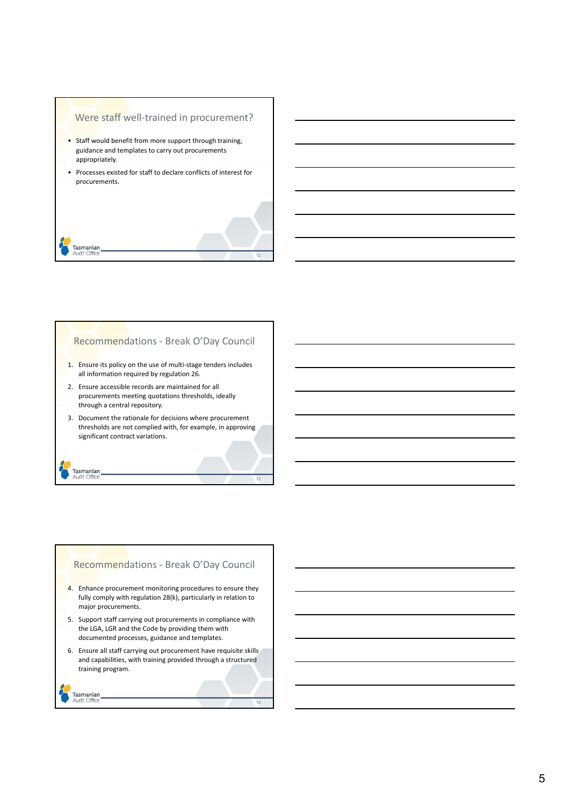#### Were staff well-trained in procurement?

- Staff would benefit from more support through training, guidance and templates to carry out procurements appropriately.
- Processes existed for staff to declare conflicts of interest for procurements.



### Recommendations - Break O'Day Council

- 1. Ensure its policy on the use of multi-stage tenders includes all information required by regulation 26.
- 2. Ensure accessible records are maintained for all procurements meeting quotations thresholds, ideally through a central repository.
- 3. Document the rationale for decisions where procurement thresholds are not complied with, for example, in approving significant contract variations.

13

14

### Recommendations - Break O'Day Council

- 4. Enhance procurement monitoring procedures to ensure they fully comply with regulation 28(k), particularly in relation to major procurements.
- 5. Support staff carrying out procurements in compliance with the LGA, LGR and the Code by providing them with documented processes, guidance and templates.
- 6. Ensure all staff carrying out procurement have requisite skills and capabilities, with training provided through a structured training program.

```
Tasmanian<br>Audit Office
```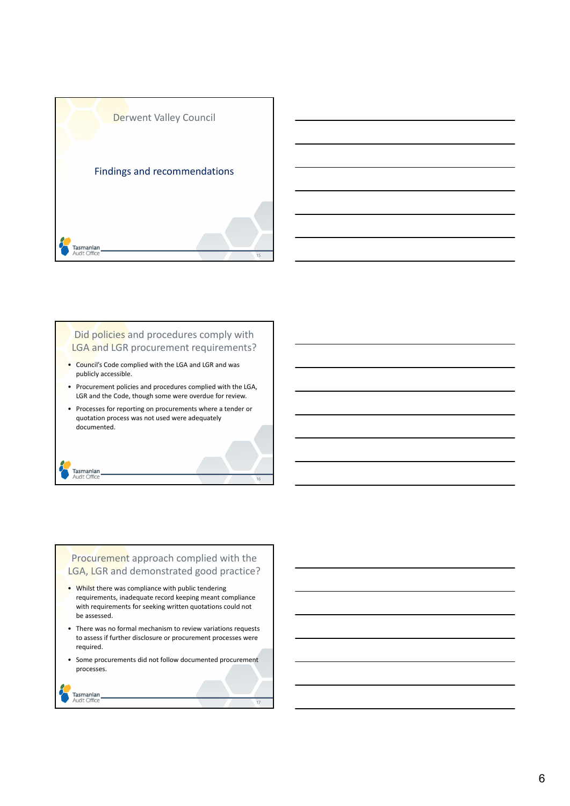



## Did policies and procedures comply with LGA and LGR procurement requirements?

- Council's Code complied with the LGA and LGR and was publicly accessible.
- Procurement policies and procedures complied with the LGA, LGR and the Code, though some were overdue for review.
- Processes for reporting on procurements where a tender or quotation process was not used were adequately documented.

16

### Procurement approach complied with the LGA, LGR and demonstrated good practice?

- Whilst there was compliance with public tendering requirements, inadequate record keeping meant compliance with requirements for seeking written quotations could not be assessed.
- There was no formal mechanism to review variations requests to assess if further disclosure or procurement processes were required.
- Some procurements did not follow documented procurement processes.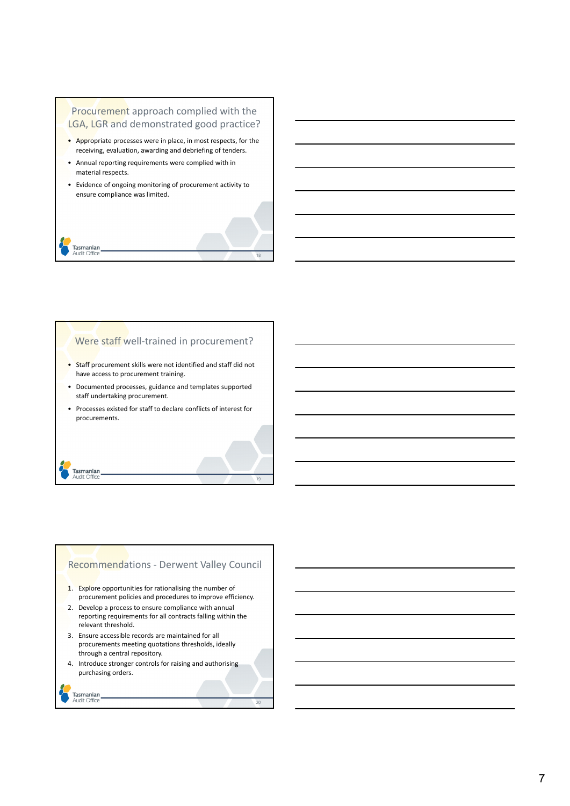## Procurement approach complied with the LGA, LGR and demonstrated good practice?

- Appropriate processes were in place, in most respects, for the receiving, evaluation, awarding and debriefing of tenders.
- Annual reporting requirements were complied with in material respects.
- Evidence of ongoing monitoring of procurement activity to ensure compliance was limited.

#### Tasmanian Audit Office

Tasmanian<br>Audit Office

#### Were staff well-trained in procurement?

18

19

20

- Staff procurement skills were not identified and staff did not have access to procurement training.
- Documented processes, guidance and templates supported staff undertaking procurement.
- Processes existed for staff to declare conflicts of interest for procurements.

## Recommendations - Derwent Valley Council

- 1. Explore opportunities for rationalising the number of procurement policies and procedures to improve efficiency.
- 2. Develop a process to ensure compliance with annual reporting requirements for all contracts falling within the relevant threshold.
- 3. Ensure accessible records are maintained for all procurements meeting quotations thresholds, ideally through a central repository.
- 4. Introduce stronger controls for raising and authorising purchasing orders.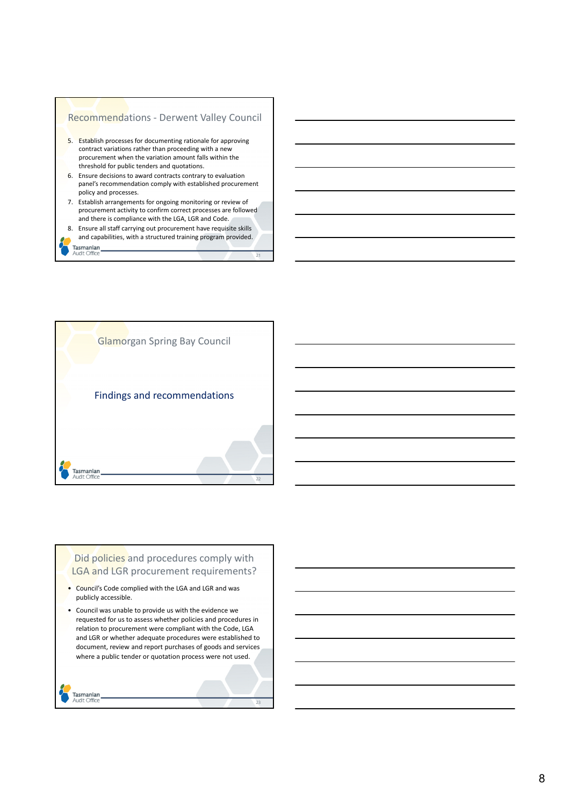



### Did policies and procedures comply with LGA and LGR procurement requirements?

- Council's Code complied with the LGA and LGR and was publicly accessible.
- Council was unable to provide us with the evidence we requested for us to assess whether policies and procedures in relation to procurement were compliant with the Code, LGA and LGR or whether adequate procedures were established to document, review and report purchases of goods and services where a public tender or quotation process were not used.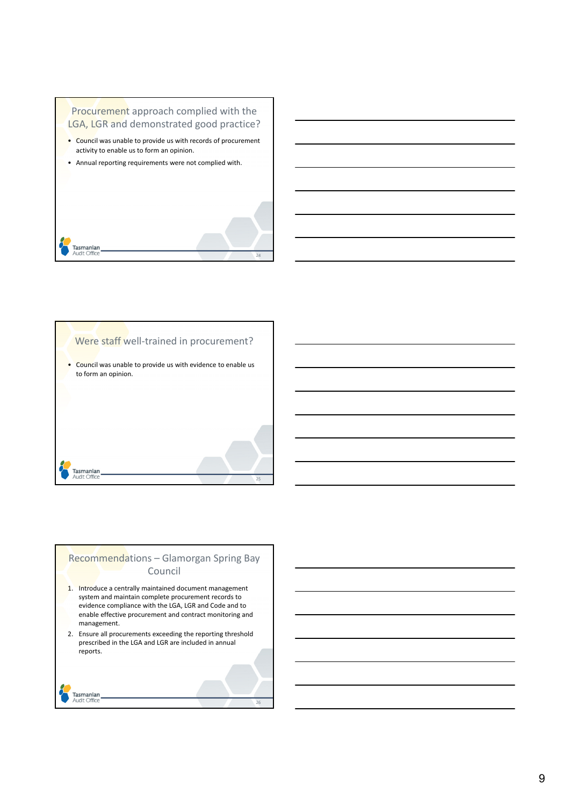



# Recommendations – Glamorgan Spring Bay Council

- 1. Introduce a centrally maintained document management system and maintain complete procurement records to evidence compliance with the LGA, LGR and Code and to enable effective procurement and contract monitoring and management.
- 2. Ensure all procurements exceeding the reporting threshold prescribed in the LGA and LGR are included in annual reports.

26

| Tasmanian   |
|-------------|
| Audit Offic |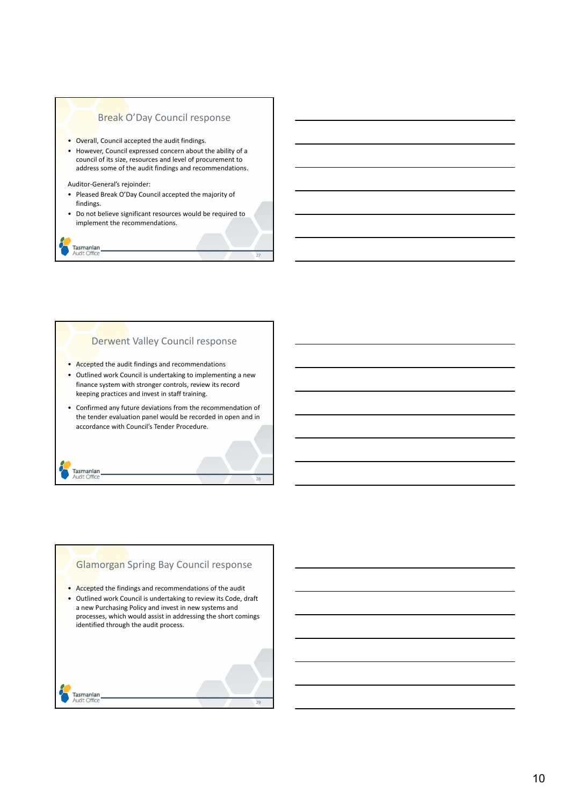#### Break O'Day Council response

- Overall, Council accepted the audit findings.
- However, Council expressed concern about the ability of a council of its size, resources and level of procurement to address some of the audit findings and recommendations.
- Auditor-General's rejoinder:
- Pleased Break O'Day Council accepted the majority of findings.
- Do not believe significant resources would be required to implement the recommendations.

# Tasmanian<br>Audit Office

Tasmanian<br>Audit Office

#### Derwent Valley Council response

- Accepted the audit findings and recommendations
- Outlined work Council is undertaking to implementing a new finance system with stronger controls, review its record keeping practices and invest in staff training.
- Confirmed any future deviations from the recommendation of the tender evaluation panel would be recorded in open and in accordance with Council's Tender Procedure.

28

# Glamorgan Spring Bay Council response

- Accepted the findings and recommendations of the audit
- Outlined work Council is undertaking to review its Code, draft a new Purchasing Policy and invest in new systems and processes, which would assist in addressing the short comings identified through the audit process.